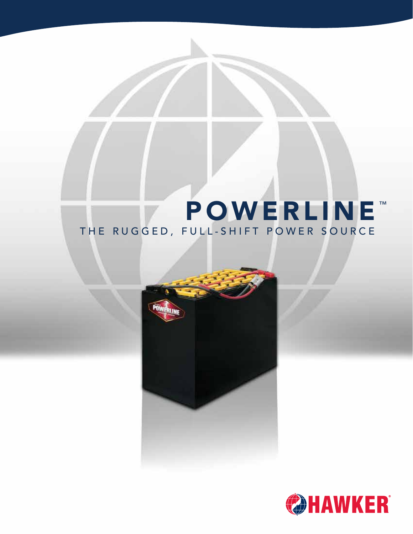# **POWERLINE™** THE RUGGED, FULL-SHIFT POWER SOURCE



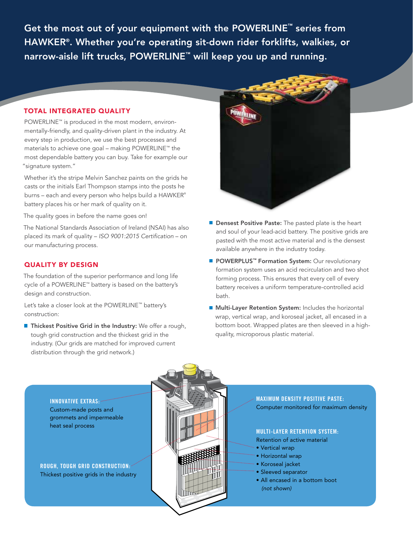Get the most out of your equipment with the POWERLINE™ series from HAWKER®. Whether you're operating sit-down rider forklifts, walkies, or narrow-aisle lift trucks, POWERLINE<sup>™</sup> will keep you up and running.

## TOTAL INTEGRATED QUALITY

POWERLINE™ is produced in the most modern, environmentally-friendly, and quality-driven plant in the industry. At every step in production, we use the best processes and materials to achieve one goal – making POWERLINE™ the most dependable battery you can buy. Take for example our "signature system."

Whether it's the stripe Melvin Sanchez paints on the grids he casts or the initials Earl Thompson stamps into the posts he burns – each and every person who helps build a HAWKER® battery places his or her mark of quality on it.

The quality goes in before the name goes on!

The National Standards Association of Ireland (NSAI) has also placed its mark of quality – *ISO 9001:2015 Certification* – on our manufacturing process.

# QUALITY BY DESIGN

The foundation of the superior performance and long life cycle of a POWERLINE™ battery is based on the battery's design and construction.

Let's take a closer look at the POWERLINE™ battery's construction:

**Thickest Positive Grid in the Industry:** We offer a rough, tough grid construction and the thickest grid in the industry. (Our grids are matched for improved current distribution through the grid network.)



- **Densest Positive Paste:** The pasted plate is the heart and soul of your lead-acid battery. The positive grids are pasted with the most active material and is the densest available anywhere in the industry today.
- POWERPLUS<sup>™</sup> Formation System: Our revolutionary formation system uses an acid recirculation and two shot forming process. This ensures that every cell of every battery receives a uniform temperature-controlled acid bath.
- **Multi-Layer Retention System:** Includes the horizontal wrap, vertical wrap, and koroseal jacket, all encased in a bottom boot. Wrapped plates are then sleeved in a highquality, microporous plastic material.



**MAXIMUM DENSITY POSITIVE PASTE:**  Computer monitored for maximum density

## **MULTI-LAYER RETENTION SYSTEM:**

- Retention of active material
- Vertical wrap
- Horizontal wrap
- Koroseal jacket
- Sleeved separator
- All encased in a bottom boot  *(not shown)*

**INNOVATIVE EXTRAS:**  Custom-made posts and grommets and impermeable heat seal process

**ROUGH, TOUGH GRID CONSTRUCTION:**  Thickest positive grids in the industry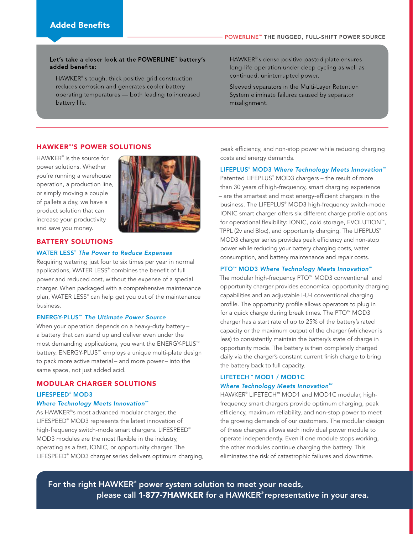### Let's take a closer look at the POWERLINE<sup>™</sup> battery's added benefits:

HAWKER®'s tough, thick positive grid construction reduces corrosion and generates cooler battery operating temperatures - both leading to increased battery life.

HAWKER®'s dense positive pasted plate ensures long-life operation under deep cycling as well as continued, uninterrupted power.

Sleeved separators in the Multi-Layer Retention System eliminate failures caused by separator misalignment.

## HAWKER ® 'S POWER SOLUTIONS

HAWKER® is the source for power solutions. Whether you're running a warehouse operation, a production line, or simply moving a couple of pallets a day, we have a product solution that can increase your productivity and save you money.



#### BATTERY SOLUTIONS

#### WATER LESS® *The Power to Reduce Expenses*

Requiring watering just four to six times per year in normal applications, WATER LESS® combines the benefit of full power and reduced cost, without the expense of a special charger. When packaged with a comprehensive maintenance plan, WATER LESS® can help get you out of the maintenance business.

### ENERGY-PLUS™ *The Ultimate Power Source*

When your operation depends on a heavy-duty battery – a battery that can stand up and deliver even under the most demanding applications, you want the ENERGY-PLUS™ battery. ENERGY-PLUS™ employs a unique multi-plate design to pack more active material – and more power – into the same space, not just added acid.

#### MODULAR CHARGER SOLUTIONS

#### LIFESPEED® MOD3

## *Where Technology Meets Innovation*™

As HAWKER® 's most advanced modular charger, the LIFESPEED® MOD3 represents the latest innovation of high-frequency switch-mode smart chargers. LIFESPEED® MOD3 modules are the most flexible in the industry, operating as a fast, IONIC, or opportunity charger. The LIFESPEED® MOD3 charger series delivers optimum charging, peak efficiency, and non-stop power while reducing charging costs and energy demands.

#### LIFEPLUS® MOD3 *Where Technology Meets Innovation™*

Patented LIFEPLUS® MOD3 chargers – the result of more than 30 years of high-frequency, smart charging experience – are the smartest and most energy-efficient chargers in the business. The LIFEPLUS® MOD3 high-frequency switch-mode IONIC smart charger offers six different charge profile options for operational flexibility: IONIC, cold storage, EVOLUTION™, TPPL (2v and Bloc), and opportunity charging. The LIFEPLUS® MOD3 charger series provides peak efficiency and non-stop power while reducing your battery charging costs, water consumption, and battery maintenance and repair costs.

#### PTO™ MOD3 *Where Technology Meets Innovation*™

The modular high-frequency PTO™ MOD3 conventional and opportunity charger provides economical opportunity charging capabilities and an adjustable I-U-I conventional charging profile. The opportunity profile allows operators to plug in for a quick charge during break times. The PTO™ MOD3 charger has a start rate of up to 25% of the battery's rated capacity or the maximum output of the charger (whichever is less) to consistently maintain the battery's state of charge in opportunity mode. The battery is then completely charged daily via the charger's constant current finish charge to bring the battery back to full capacity.

# LIFETECH™ MOD1 / MOD1C *Where Technology Meets Innovation™*

HAWKER® LIFETECH™ MOD1 and MOD1C modular, highfrequency smart chargers provide optimum charging, peak efficiency, maximum reliability, and non-stop power to meet the growing demands of our customers. The modular design of these chargers allows each individual power module to operate independently. Even if one module stops working, the other modules continue charging the battery. This eliminates the risk of catastrophic failures and downtime.

For the right HAWKER**®** power system solution to meet your needs, please call 1-877-7HAWKER for a HAWKER**®** representative in your area.